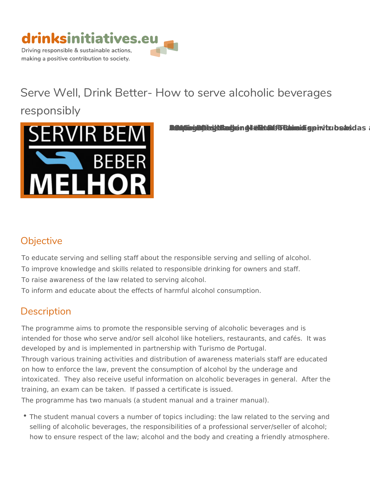

# Serve Well, Drink Better- How to serve al responsibly



BREND SANG - Computer Service Services alcohor alcohor alcohor alcohor servir alcohor alcohor alcohor alcohor a

## Objective

To educate serving and selling staff about the responsible serving and sel To improve knowledge and skills related to responsible drinking for owners To raise awareness of the law related to serving alcohol.

To inform and educate about the effects of harmful alcohol consumption.

## Description

The programme aims to promote the responsible serving of alcoholic bever intended for those who serve and/or sell alcohol like hoteliers, restaurants developed by and is implemented in partnership with Turismo de Portugal. Through various training activities and distribution of awareness materials on how to enforce the law, prevent the consumption of alcohol by the unde intoxicated. They also receive useful information on alcoholic beverages training, an exam can be taken. If passed a certificate is issued. The programme has two manuals (a student manual and a trainer manual).

\* The student manual covers a number of topics including: the law related selling of alcoholic beverages, the responsibilities of a professional serv how to ensure respect of the law; alcohol and the body and creating a fri